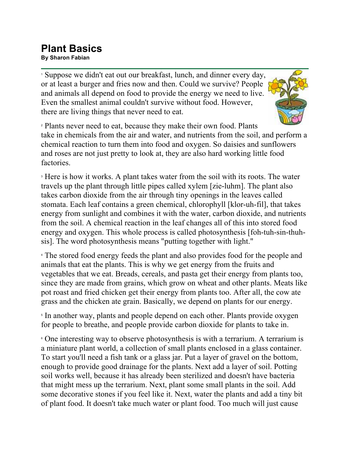## **Plant Basics**

**By Sharon Fabian**

<sup>1</sup> Suppose we didn't eat out our breakfast, lunch, and dinner every day, or at least a burger and fries now and then. Could we survive? People and animals all depend on food to provide the energy we need to live. Even the smallest animal couldn't survive without food. However, there are living things that never need to eat.



<sup>2</sup> Plants never need to eat, because they make their own food. Plants take in chemicals from the air and water, and nutrients from the soil, and perform a chemical reaction to turn them into food and oxygen. So daisies and sunflowers and roses are not just pretty to look at, they are also hard working little food factories.

<sup>3</sup> Here is how it works. A plant takes water from the soil with its roots. The water travels up the plant through little pipes called xylem [zie-luhm]. The plant also takes carbon dioxide from the air through tiny openings in the leaves called stomata. Each leaf contains a green chemical, chlorophyll [klor-uh-fil], that takes energy from sunlight and combines it with the water, carbon dioxide, and nutrients from the soil. A chemical reaction in the leaf changes all of this into stored food energy and oxygen. This whole process is called photosynthesis [foh-tuh-sin-thuhsis]. The word photosynthesis means "putting together with light."

<sup>4</sup> The stored food energy feeds the plant and also provides food for the people and animals that eat the plants. This is why we get energy from the fruits and vegetables that we eat. Breads, cereals, and pasta get their energy from plants too, since they are made from grains, which grow on wheat and other plants. Meats like pot roast and fried chicken get their energy from plants too. After all, the cow ate grass and the chicken ate grain. Basically, we depend on plants for our energy.

<sup>5</sup> In another way, plants and people depend on each other. Plants provide oxygen for people to breathe, and people provide carbon dioxide for plants to take in.

<sup>6</sup> One interesting way to observe photosynthesis is with a terrarium. A terrarium is a miniature plant world, a collection of small plants enclosed in a glass container. To start you'll need a fish tank or a glass jar. Put a layer of gravel on the bottom, enough to provide good drainage for the plants. Next add a layer of soil. Potting soil works well, because it has already been sterilized and doesn't have bacteria that might mess up the terrarium. Next, plant some small plants in the soil. Add some decorative stones if you feel like it. Next, water the plants and add a tiny bit of plant food. It doesn't take much water or plant food. Too much will just cause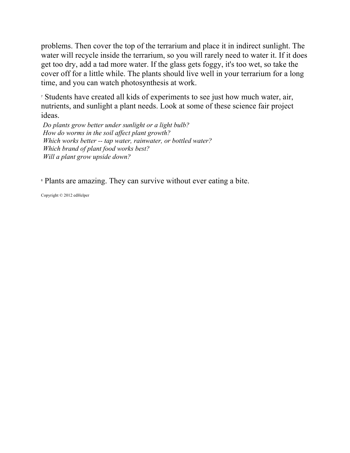problems. Then cover the top of the terrarium and place it in indirect sunlight. The water will recycle inside the terrarium, so you will rarely need to water it. If it does get too dry, add a tad more water. If the glass gets foggy, it's too wet, so take the cover off for a little while. The plants should live well in your terrarium for a long time, and you can watch photosynthesis at work.

<sup>7</sup> Students have created all kids of experiments to see just how much water, air, nutrients, and sunlight a plant needs. Look at some of these science fair project ideas.

*Do plants grow better under sunlight or a light bulb? How do worms in the soil affect plant growth? Which works better -- tap water, rainwater, or bottled water? Which brand of plant food works best? Will a plant grow upside down?*

<sup>8</sup> Plants are amazing. They can survive without ever eating a bite.

Copyright © 2012 edHelper